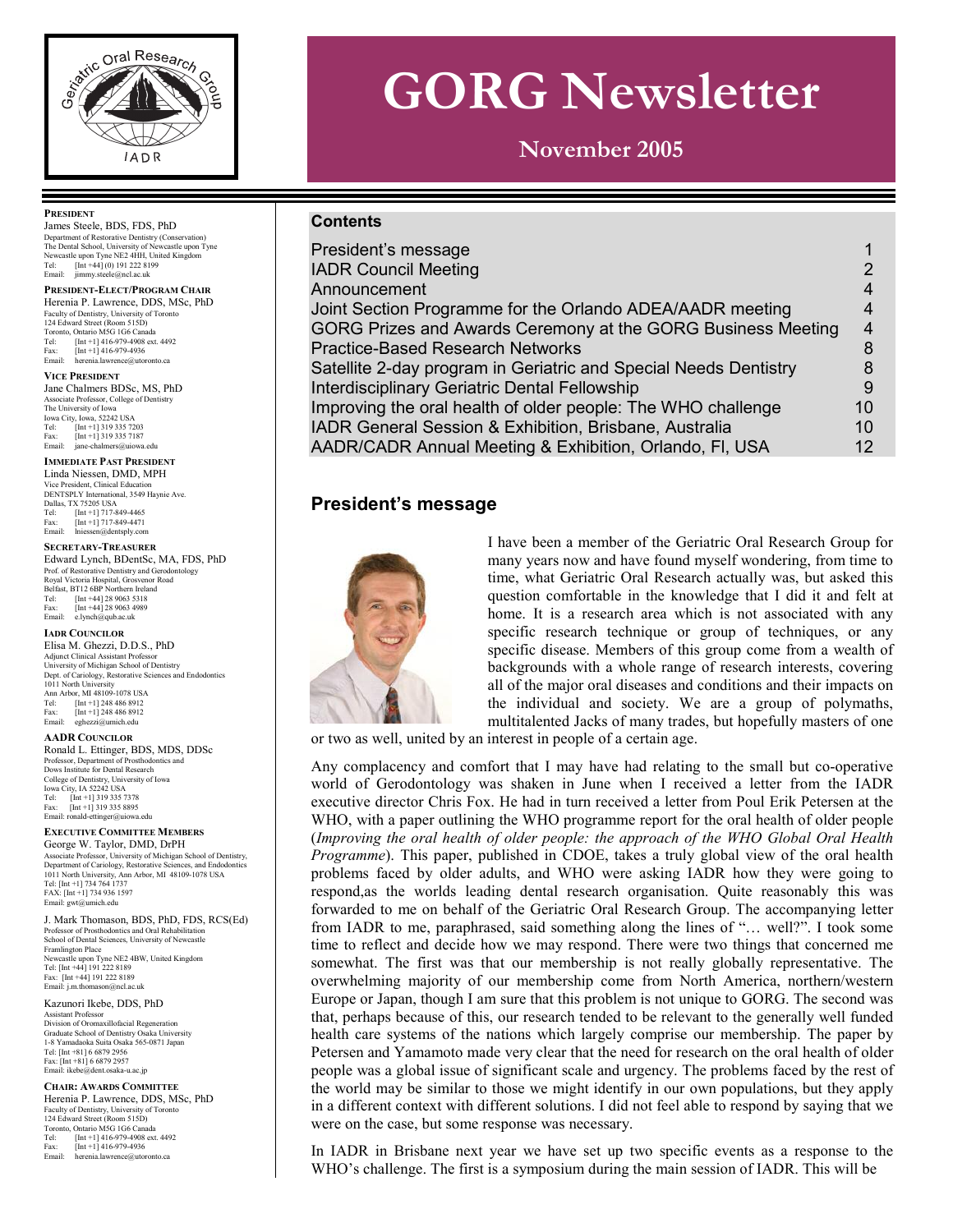

# **GORG Newsletter**

**November 2005** 

#### **Contents**

| President's message                                              |                 |
|------------------------------------------------------------------|-----------------|
| <b>IADR Council Meeting</b>                                      |                 |
| Announcement                                                     | 4               |
| Joint Section Programme for the Orlando ADEA/AADR meeting        | 4               |
| GORG Prizes and Awards Ceremony at the GORG Business Meeting     | 4               |
| <b>Practice-Based Research Networks</b>                          | 8               |
| Satellite 2-day program in Geriatric and Special Needs Dentistry |                 |
| Interdisciplinary Geriatric Dental Fellowship                    | 9               |
| Improving the oral health of older people: The WHO challenge     | 10              |
| IADR General Session & Exhibition, Brisbane, Australia           | 10 <sup>1</sup> |
| AADR/CADR Annual Meeting & Exhibition, Orlando, FI, USA          | 12 <sup>°</sup> |

#### **President's message**



I have been a member of the Geriatric Oral Research Group for many years now and have found myself wondering, from time to time, what Geriatric Oral Research actually was, but asked this question comfortable in the knowledge that I did it and felt at home. It is a research area which is not associated with any specific research technique or group of techniques, or any specific disease. Members of this group come from a wealth of backgrounds with a whole range of research interests, covering all of the major oral diseases and conditions and their impacts on the individual and society. We are a group of polymaths, multitalented Jacks of many trades, but hopefully masters of one

or two as well, united by an interest in people of a certain age.

Any complacency and comfort that I may have had relating to the small but co-operative world of Gerodontology was shaken in June when I received a letter from the IADR executive director Chris Fox. He had in turn received a letter from Poul Erik Petersen at the WHO, with a paper outlining the WHO programme report for the oral health of older people (*Improving the oral health of older people: the approach of the WHO Global Oral Health Programme*). This paper, published in CDOE, takes a truly global view of the oral health problems faced by older adults, and WHO were asking IADR how they were going to respond,as the worlds leading dental research organisation. Quite reasonably this was forwarded to me on behalf of the Geriatric Oral Research Group. The accompanying letter from IADR to me, paraphrased, said something along the lines of "… well?". I took some time to reflect and decide how we may respond. There were two things that concerned me somewhat. The first was that our membership is not really globally representative. The overwhelming majority of our membership come from North America, northern/western Europe or Japan, though I am sure that this problem is not unique to GORG. The second was that, perhaps because of this, our research tended to be relevant to the generally well funded health care systems of the nations which largely comprise our membership. The paper by Petersen and Yamamoto made very clear that the need for research on the oral health of older people was a global issue of significant scale and urgency. The problems faced by the rest of the world may be similar to those we might identify in our own populations, but they apply in a different context with different solutions. I did not feel able to respond by saying that we were on the case, but some response was necessary.

In IADR in Brisbane next year we have set up two specific events as a response to the WHO's challenge. The first is a symposium during the main session of IADR. This will be

#### **PRESIDENT**

James Steele, BDS, FDS, PhD Department of Restorative Dentistry (Conservation) The Dental School, University of Newcastle upon Tyne Newcastle upon Tyne NE2 4HH, United Kingdom Tel: [Int +44] (0) 191 222 8199 Email: jimmy.steele@ncl.ac.uk

#### **PRESIDENT-ELECT/PROGRAM CHAIR** Herenia P. Lawrence, DDS, MSc, PhD

Faculty of Dentistry, University of Tor 124 Edward Street (Room 515D) Toronto, Ontario M5G 1G6 Canada Tel: [Int +1] 416-979-4908 ext. 4492 Fax:  $[Int +1] 416-979-4936$ <br>Fmail: herenia lawrence@utor herenia.lawrence@utoro

#### **VICE PRESIDENT**

Jane Chalmers BDSc, MS, PhD Associate Professor, College of Dentistry The University of Iowa Iowa City, Iowa, 52242 USA Tel: [Int +1] 319 335 7203 Fax: [Int +1] 319 335 7187<br>Email: iane-chalmers@ujowa ers@uiowa.edu

#### **IMMEDIATE PAST PRESIDENT**

Linda Niessen, DMD, MPH Vice President, Clinical Education DENTSPLY International, 3549 Haynie Ave. Dallas, TX 75205 USA Tel: [Int +1] 717-849-4465 Fax: [Int +1] 717-849-4471 Email: lniessen@dentsply.com

#### **SECRETARY-TREASURER**

Edward Lynch, BDentSc, MA, FDS, PhD Prof. of Restorative Dentistry and Gerodontology Royal Victoria Hospital, Grosvenor Road Belfast, BT12 6BP Northern Ireland Tel: [Int +44] 28 9063 5318 Fax: [Int +44] 28 9063 5318<br>Fax: [Int +44] 28 9063 4989 Email: e.lynch@qub.ac.uk

#### **IADR COUNCILOR**

Elisa M. Ghezzi, D.D.S., PhD Adjunct Clinical Assistant Professor University of Michigan School of Dentistry Dept. of Cariology, Restorative Sciences and Endodontics 1011 North University Ann Arbor, MI 48109-1078 USA Tel: [Int +1] 248 486 8912 Fax:  $[Int +1]$  248 486 8912<br>Fmail: exhezzi@umich.edu eghezzi@umich.edu

#### **AADR COUNCILOR**

Ronald L. Ettinger, BDS, MDS, DDSc Professor, Department of Prosthodontics and Dows Institute for Dental Research College of Dentistry, University of Iowa Iowa City, IA 52242 USA Tel: [Int +1] 319 335 7378 Fax: [Int +1] 319 335 8895 Email: ronald-ettinger@uiowa.edu

#### **EXECUTIVE COMMITTEE MEMBERS**

George W. Taylor, DMD, DrPH Associate Professor, University of Michigan School of Dentistry,<br>Department of Cariology, Restorative Sciences, and Endodontics<br>1011 North University, Ann Arbor, MI 48109-1078 USA<br>Tel: [Int +1] 734 764 1737 FAX: [Int +1] 734 936 1597 Email: gwt@umich.edu

J. Mark Thomason, BDS, PhD, FDS, RCS(Ed) Professor of Prosthodontics and Oral Rehabilitation School of Dental Sciences, University of Newcastle Framlington Place Newcastle upon Tyne NE2 4BW, United Kingdom Tel: [Int +44] 191 222 8189 Fax: [Int +44] 191 222 8189 Email: j.m.thomason@ncl.ac.uk

#### Kazunori Ikebe, DDS, PhD Assistant Professor Division of Oromaxillofacial Regeneration Graduate School of Dentistry Osaka University

1-8 Yamadaoka Suita Osaka 565-0871 Japan Tel: [Int +81] 6 6879 2956 Fax: [Int +81] 6 6879 2957 Email: ikebe@dent.osaka-u.ac.jp

#### **CHAIR: AWARDS COMMITTEE**

Herenia P. Lawrence, DDS, MSc, PhD Faculty of Dentistry, University of Toronto 124 Edward Street (Room 515D) Toronto, Ontario M5G 1G6 Canada<br>Tel: [Int +11416-979-4908 ^\* Tel: [Int +1] 416-979-4908 ext. 4492 Fax: [Int +1] 416-979-4936 Email: herenia.lawrence@utoronto.ca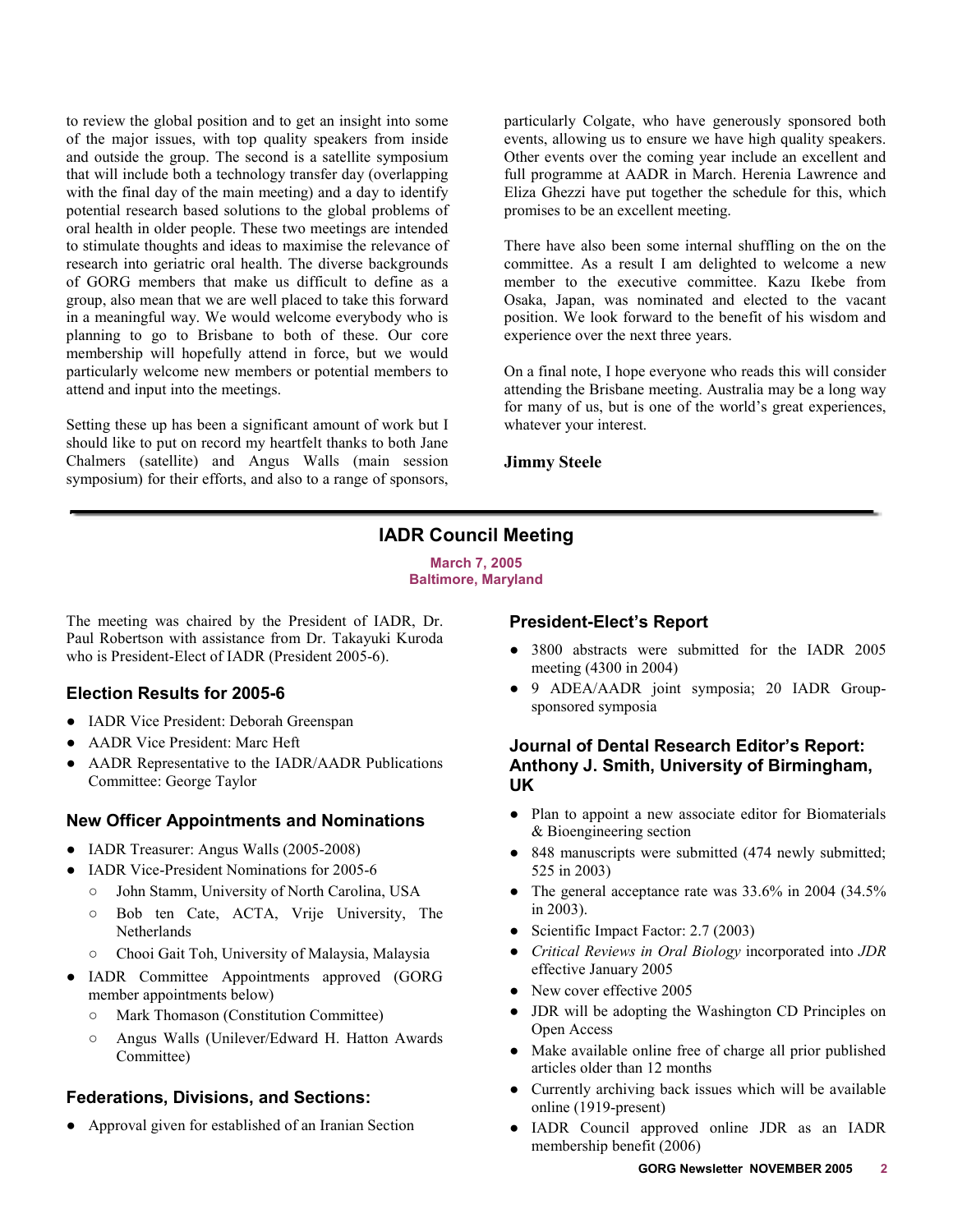<span id="page-1-0"></span>to review the global position and to get an insight into some of the major issues, with top quality speakers from inside and outside the group. The second is a satellite symposium that will include both a technology transfer day (overlapping with the final day of the main meeting) and a day to identify potential research based solutions to the global problems of oral health in older people. These two meetings are intended to stimulate thoughts and ideas to maximise the relevance of research into geriatric oral health. The diverse backgrounds of GORG members that make us difficult to define as a group, also mean that we are well placed to take this forward in a meaningful way. We would welcome everybody who is planning to go to Brisbane to both of these. Our core membership will hopefully attend in force, but we would particularly welcome new members or potential members to attend and input into the meetings.

Setting these up has been a significant amount of work but I should like to put on record my heartfelt thanks to both Jane Chalmers (satellite) and Angus Walls (main session symposium) for their efforts, and also to a range of sponsors, particularly Colgate, who have generously sponsored both events, allowing us to ensure we have high quality speakers. Other events over the coming year include an excellent and full programme at AADR in March. Herenia Lawrence and Eliza Ghezzi have put together the schedule for this, which promises to be an excellent meeting.

There have also been some internal shuffling on the on the committee. As a result I am delighted to welcome a new member to the executive committee. Kazu Ikebe from Osaka, Japan, was nominated and elected to the vacant position. We look forward to the benefit of his wisdom and experience over the next three years.

On a final note, I hope everyone who reads this will consider attending the Brisbane meeting. Australia may be a long way for many of us, but is one of the world's great experiences, whatever your interest.

**Jimmy Steele** 

# **IADR Council Meeting**

**March 7, 2005 Baltimore, Maryland** 

The meeting was chaired by the President of IADR, Dr. Paul Robertson with assistance from Dr. Takayuki Kuroda who is President-Elect of IADR (President 2005-6).

# **Election Results for 2005-6**

- IADR Vice President: Deborah Greenspan
- AADR Vice President: Marc Heft
- AADR Representative to the IADR/AADR Publications Committee: George Taylor

# **New Officer Appointments and Nominations**

- IADR Treasurer: Angus Walls (2005-2008)
- IADR Vice-President Nominations for 2005-6
	- o John Stamm, University of North Carolina, USA
	- o Bob ten Cate, ACTA, Vrije University, The Netherlands
	- o Chooi Gait Toh, University of Malaysia, Malaysia
- IADR Committee Appointments approved (GORG member appointments below)
	- o Mark Thomason (Constitution Committee)
	- o Angus Walls (Unilever/Edward H. Hatton Awards Committee)

# **Federations, Divisions, and Sections:**

• Approval given for established of an Iranian Section

# **President-Elect's Report**

- 3800 abstracts were submitted for the IADR 2005 meeting (4300 in 2004)
- O 9 ADEA/AADR joint symposia; 20 IADR Groupsponsored symposia

#### **Journal of Dental Research Editor's Report: Anthony J. Smith, University of Birmingham, UK**

- O Plan to appoint a new associate editor for Biomaterials & Bioengineering section
- $\bullet$  848 manuscripts were submitted (474 newly submitted; 525 in 2003)
- The general acceptance rate was  $33.6\%$  in 2004 (34.5%) in 2003).
- Scientific Impact Factor: 2.7 (2003)
- O *Critical Reviews in Oral Biology* incorporated into *JDR* effective January 2005
- $\bullet$  New cover effective 2005
- JDR will be adopting the Washington CD Principles on Open Access
- Make available online free of charge all prior published articles older than 12 months
- Currently archiving back issues which will be available online (1919-present)
- O IADR Council approved online JDR as an IADR membership benefit (2006)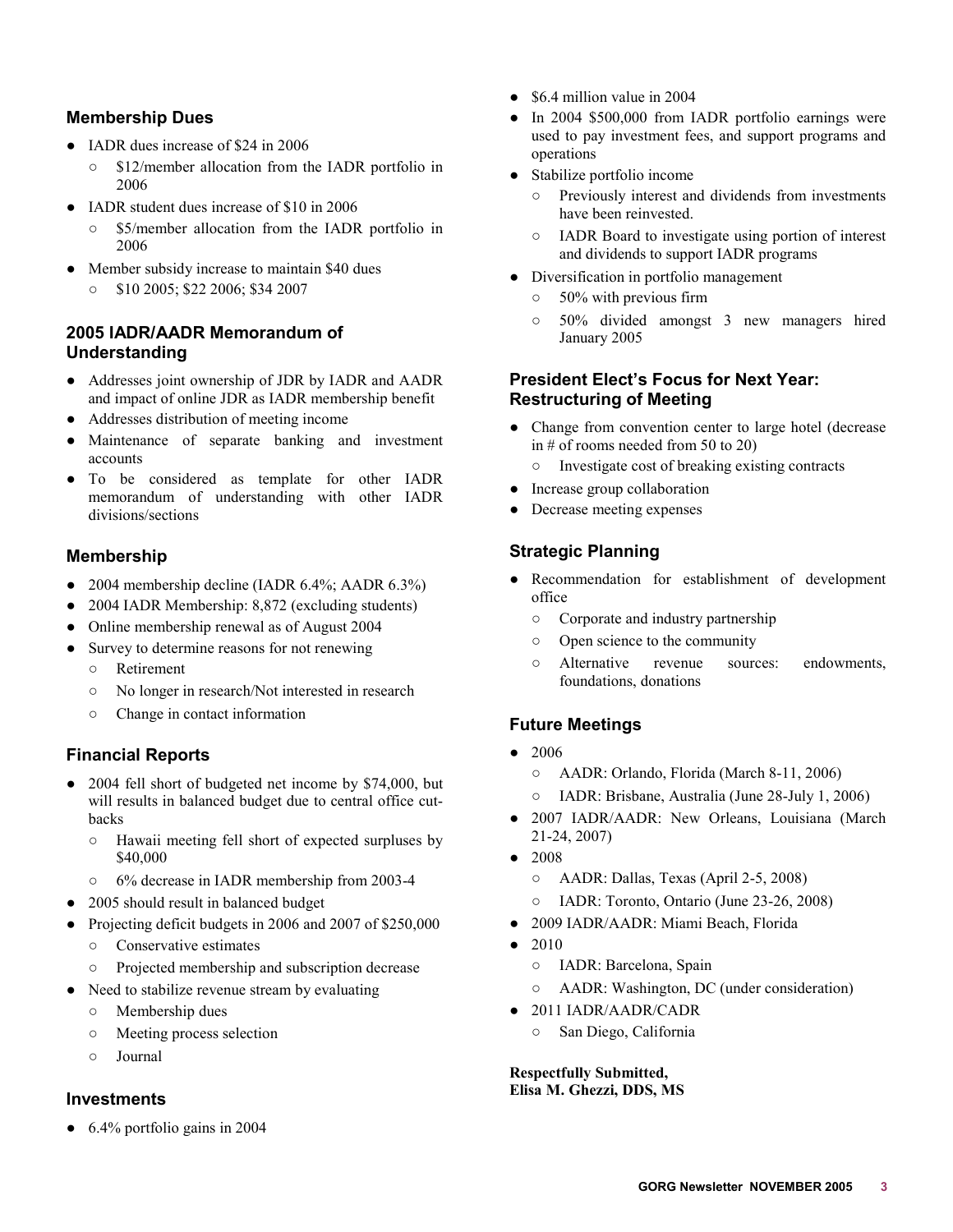#### **Membership Dues**

- IADR dues increase of \$24 in 2006
	- $\circ$  \$12/member allocation from the IADR portfolio in 2006
- IADR student dues increase of \$10 in 2006
	- \$5/member allocation from the IADR portfolio in 2006
- Member subsidy increase to maintain \$40 dues
	- $\circ$  \$10 2005; \$22 2006; \$34 2007

### **2005 IADR/AADR Memorandum of Understanding**

- Addresses joint ownership of JDR by IADR and AADR and impact of online JDR as IADR membership benefit
- O Addresses distribution of meeting income
- Maintenance of separate banking and investment accounts
- O To be considered as template for other IADR memorandum of understanding with other IADR divisions/sections

# **Membership**

- $\bullet$  2004 membership decline (IADR 6.4%; AADR 6.3%)
- 2004 IADR Membership: 8,872 (excluding students)
- Online membership renewal as of August 2004
- Survey to determine reasons for not renewing
	- o Retirement
	- o No longer in research/Not interested in research
	- $\circ$  Change in contact information

# **Financial Reports**

- 2004 fell short of budgeted net income by \$74,000, but will results in balanced budget due to central office cutbacks
	- $\circ$  Hawaii meeting fell short of expected surpluses by \$40,000
	- o 6% decrease in IADR membership from 2003-4
- 2005 should result in balanced budget
- O Projecting deficit budgets in 2006 and 2007 of \$250,000
	- $\circ$  Conservative estimates
	- o Projected membership and subscription decrease
- Need to stabilize revenue stream by evaluating
	- $\circ$  Membership dues
	- o Meeting process selection
	- $\circ$  Journal

#### **Investments**

 $\bullet$  6.4% portfolio gains in 2004

- $\bullet$  \$6.4 million value in 2004
- $\bullet$  In 2004 \$500,000 from IADR portfolio earnings were used to pay investment fees, and support programs and operations
- Stabilize portfolio income
	- o Previously interest and dividends from investments have been reinvested.
	- o IADR Board to investigate using portion of interest and dividends to support IADR programs
- Diversification in portfolio management
	- $\circ$  50% with previous firm
	- o 50% divided amongst 3 new managers hired January 2005

### **President Elect's Focus for Next Year: Restructuring of Meeting**

- Change from convention center to large hotel (decrease in # of rooms needed from 50 to 20)
	- $\circ$  Investigate cost of breaking existing contracts
- Increase group collaboration
- Decrease meeting expenses

# **Strategic Planning**

- Recommendation for establishment of development office
	- $\circ$  Corporate and industry partnership
	- $\circ$  Open science to the community
	- o Alternative revenue sources: endowments, foundations, donations

# **Future Meetings**

- $2006$ 
	- o AADR: Orlando, Florida (March 8-11, 2006)
	- o IADR: Brisbane, Australia (June 28-July 1, 2006)
- 2007 IADR/AADR: New Orleans, Louisiana (March 21-24, 2007)
- $\bullet$  2008
	- o AADR: Dallas, Texas (April 2-5, 2008)
	- o IADR: Toronto, Ontario (June 23-26, 2008)
- 2009 IADR/AADR: Miami Beach, Florida
- $\bullet$  2010
	- o IADR: Barcelona, Spain
	- o AADR: Washington, DC (under consideration)
- $\bullet$  2011 IADR/AADR/CADR
	- o San Diego, California

#### **Respectfully Submitted, Elisa M. Ghezzi, DDS, MS**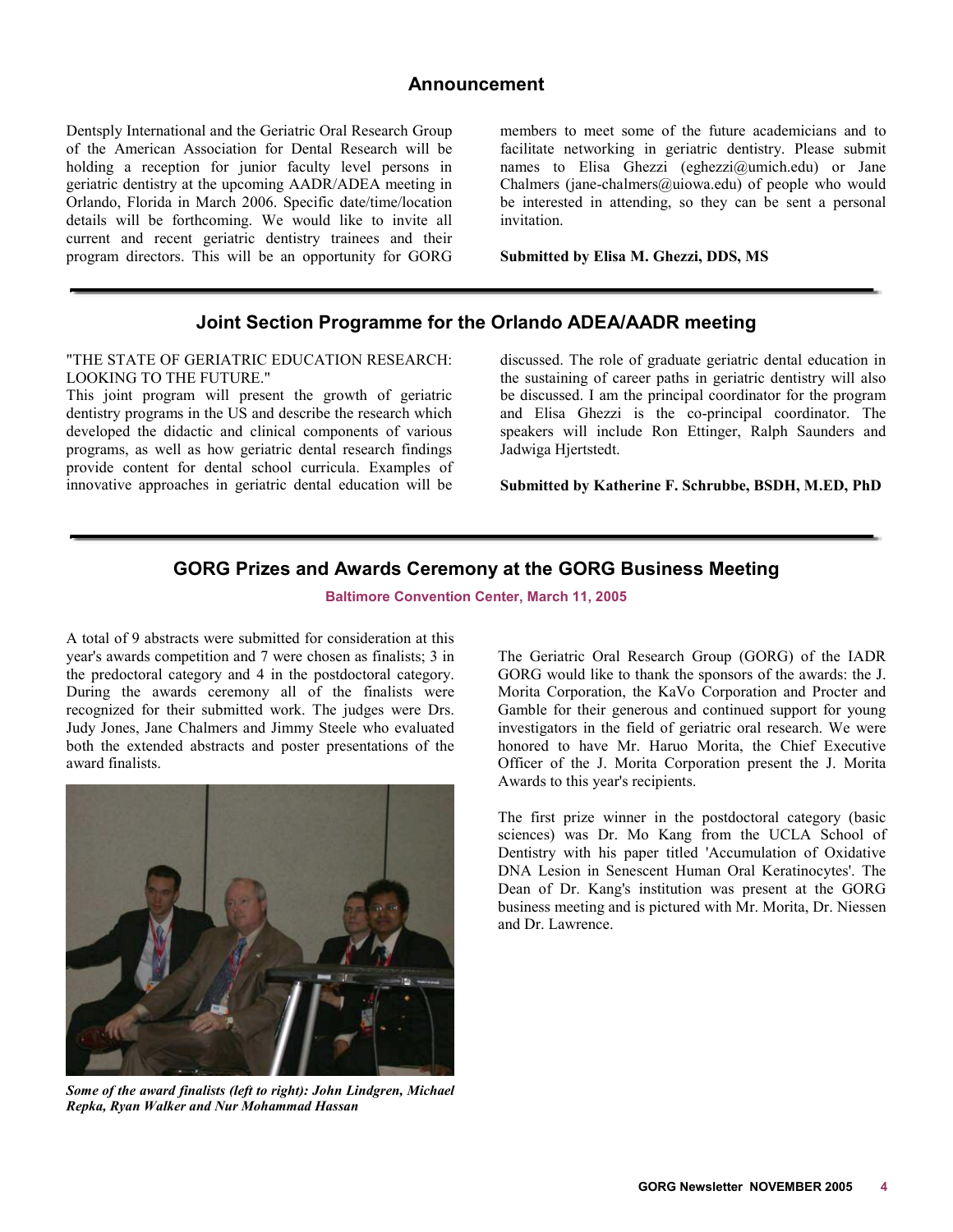#### **Announcement**

<span id="page-3-0"></span>Dentsply International and the Geriatric Oral Research Group of the American Association for Dental Research will be holding a reception for junior faculty level persons in geriatric dentistry at the upcoming AADR/ADEA meeting in Orlando, Florida in March 2006. Specific date/time/location details will be forthcoming. We would like to invite all current and recent geriatric dentistry trainees and their program directors. This will be an opportunity for GORG

members to meet some of the future academicians and to facilitate networking in geriatric dentistry. Please submit names to Elisa Ghezzi (eghezzi@umich.edu) or Jane Chalmers (jane-chalmers@uiowa.edu) of people who would be interested in attending, so they can be sent a personal invitation.

**Submitted by Elisa M. Ghezzi, DDS, MS** 

# **Joint Section Programme for the Orlando ADEA/AADR meeting**

"THE STATE OF GERIATRIC EDUCATION RESEARCH: LOOKING TO THE FUTURE."

This joint program will present the growth of geriatric dentistry programs in the US and describe the research which developed the didactic and clinical components of various programs, as well as how geriatric dental research findings provide content for dental school curricula. Examples of innovative approaches in geriatric dental education will be

discussed. The role of graduate geriatric dental education in the sustaining of career paths in geriatric dentistry will also be discussed. I am the principal coordinator for the program and Elisa Ghezzi is the co-principal coordinator. The speakers will include Ron Ettinger, Ralph Saunders and Jadwiga Hjertstedt.

**Submitted by Katherine F. Schrubbe, BSDH, M.ED, PhD** 

#### **GORG Prizes and Awards Ceremony at the GORG Business Meeting**

**Baltimore Convention Center, March 11, 2005** 

A total of 9 abstracts were submitted for consideration at this year's awards competition and 7 were chosen as finalists; 3 in the predoctoral category and 4 in the postdoctoral category. During the awards ceremony all of the finalists were recognized for their submitted work. The judges were Drs. Judy Jones, Jane Chalmers and Jimmy Steele who evaluated both the extended abstracts and poster presentations of the award finalists.



*Some of the award finalists (left to right): John Lindgren, Michael Repka, Ryan Walker and Nur Mohammad Hassan* 

The Geriatric Oral Research Group (GORG) of the IADR GORG would like to thank the sponsors of the awards: the J. Morita Corporation, the KaVo Corporation and Procter and Gamble for their generous and continued support for young investigators in the field of geriatric oral research. We were honored to have Mr. Haruo Morita, the Chief Executive Officer of the J. Morita Corporation present the J. Morita Awards to this year's recipients.

The first prize winner in the postdoctoral category (basic sciences) was Dr. Mo Kang from the UCLA School of Dentistry with his paper titled 'Accumulation of Oxidative DNA Lesion in Senescent Human Oral Keratinocytes'. The Dean of Dr. Kang's institution was present at the GORG business meeting and is pictured with Mr. Morita, Dr. Niessen and Dr. Lawrence.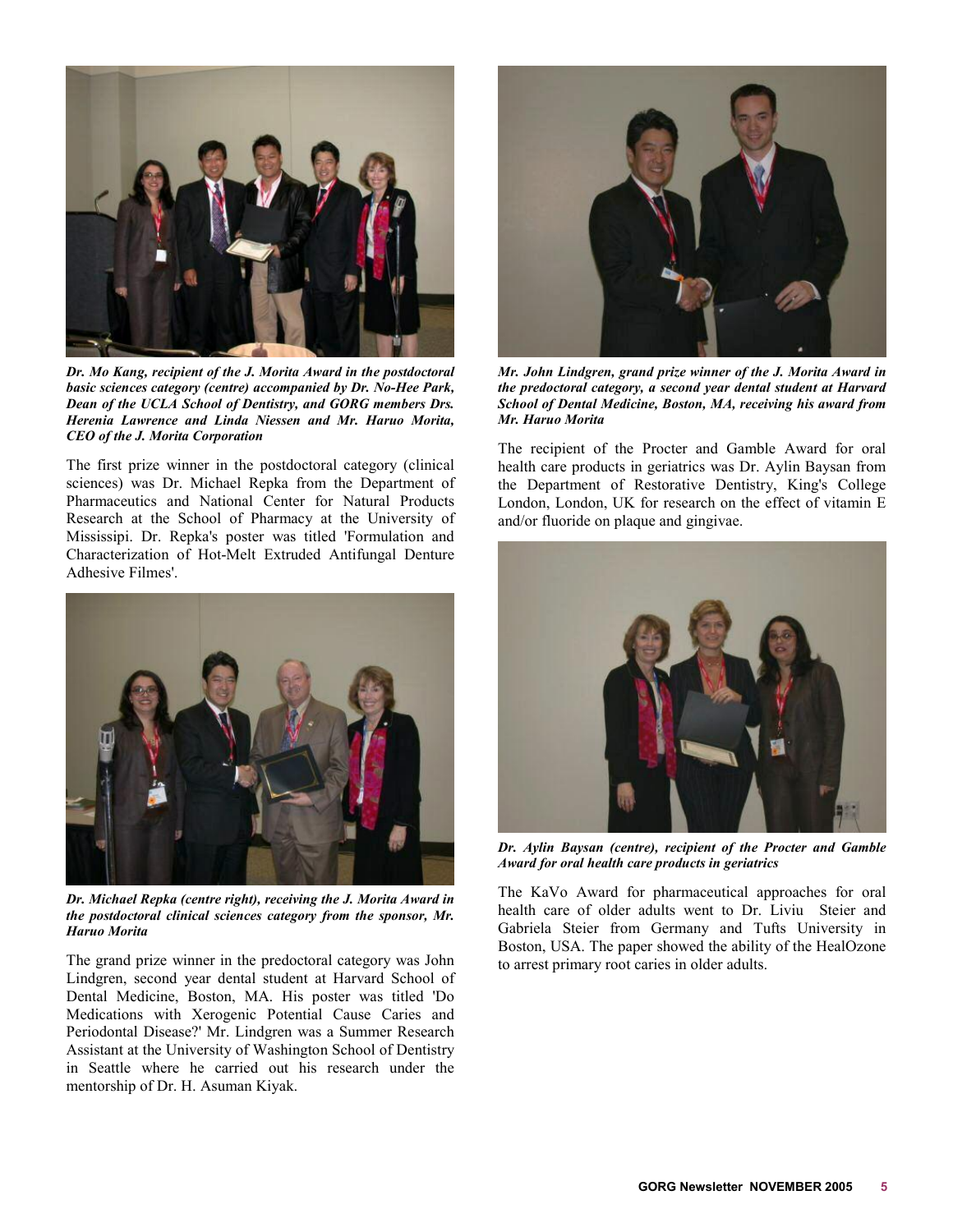

*Dr. Mo Kang, recipient of the J. Morita Award in the postdoctoral basic sciences category (centre) accompanied by Dr. No-Hee Park, Dean of the UCLA School of Dentistry, and GORG members Drs. Herenia Lawrence and Linda Niessen and Mr. Haruo Morita, CEO of the J. Morita Corporation* 

The first prize winner in the postdoctoral category (clinical sciences) was Dr. Michael Repka from the Department of Pharmaceutics and National Center for Natural Products Research at the School of Pharmacy at the University of Mississipi. Dr. Repka's poster was titled 'Formulation and Characterization of Hot-Melt Extruded Antifungal Denture Adhesive Filmes'.



*Dr. Michael Repka (centre right), receiving the J. Morita Award in the postdoctoral clinical sciences category from the sponsor, Mr. Haruo Morita* 

The grand prize winner in the predoctoral category was John Lindgren, second year dental student at Harvard School of Dental Medicine, Boston, MA. His poster was titled 'Do Medications with Xerogenic Potential Cause Caries and Periodontal Disease?' Mr. Lindgren was a Summer Research Assistant at the University of Washington School of Dentistry in Seattle where he carried out his research under the mentorship of Dr. H. Asuman Kiyak.



*Mr. John Lindgren, grand prize winner of the J. Morita Award in the predoctoral category, a second year dental student at Harvard School of Dental Medicine, Boston, MA, receiving his award from Mr. Haruo Morita* 

The recipient of the Procter and Gamble Award for oral health care products in geriatrics was Dr. Aylin Baysan from the Department of Restorative Dentistry, King's College London, London, UK for research on the effect of vitamin E and/or fluoride on plaque and gingivae.



*Dr. Aylin Baysan (centre), recipient of the Procter and Gamble Award for oral health care products in geriatrics* 

The KaVo Award for pharmaceutical approaches for oral health care of older adults went to Dr. Liviu Steier and Gabriela Steier from Germany and Tufts University in Boston, USA. The paper showed the ability of the HealOzone to arrest primary root caries in older adults.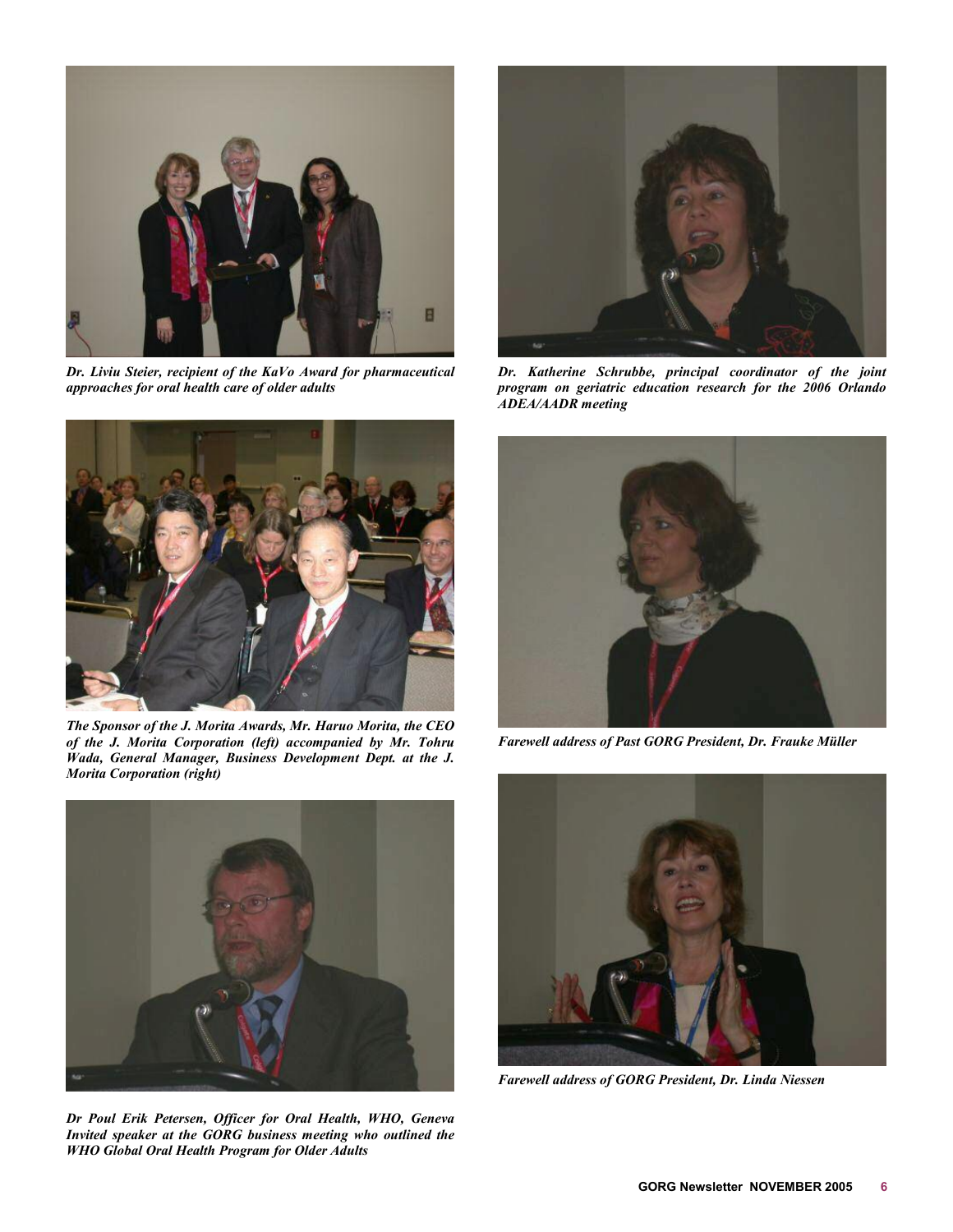

*Dr. Liviu Steier, recipient of the KaVo Award for pharmaceutical approaches for oral health care of older adults* 



*The Sponsor of the J. Morita Awards, Mr. Haruo Morita, the CEO of the J. Morita Corporation (left) accompanied by Mr. Tohru Wada, General Manager, Business Development Dept. at the J. Morita Corporation (right)* 



*Dr Poul Erik Petersen, Officer for Oral Health, WHO, Geneva Invited speaker at the GORG business meeting who outlined the WHO Global Oral Health Program for Older Adults* 



*Dr. Katherine Schrubbe, principal coordinator of the joint program on geriatric education research for the 2006 Orlando ADEA/AADR meeting* 



*Farewell address of Past GORG President, Dr. Frauke Müller* 



*Farewell address of GORG President, Dr. Linda Niessen*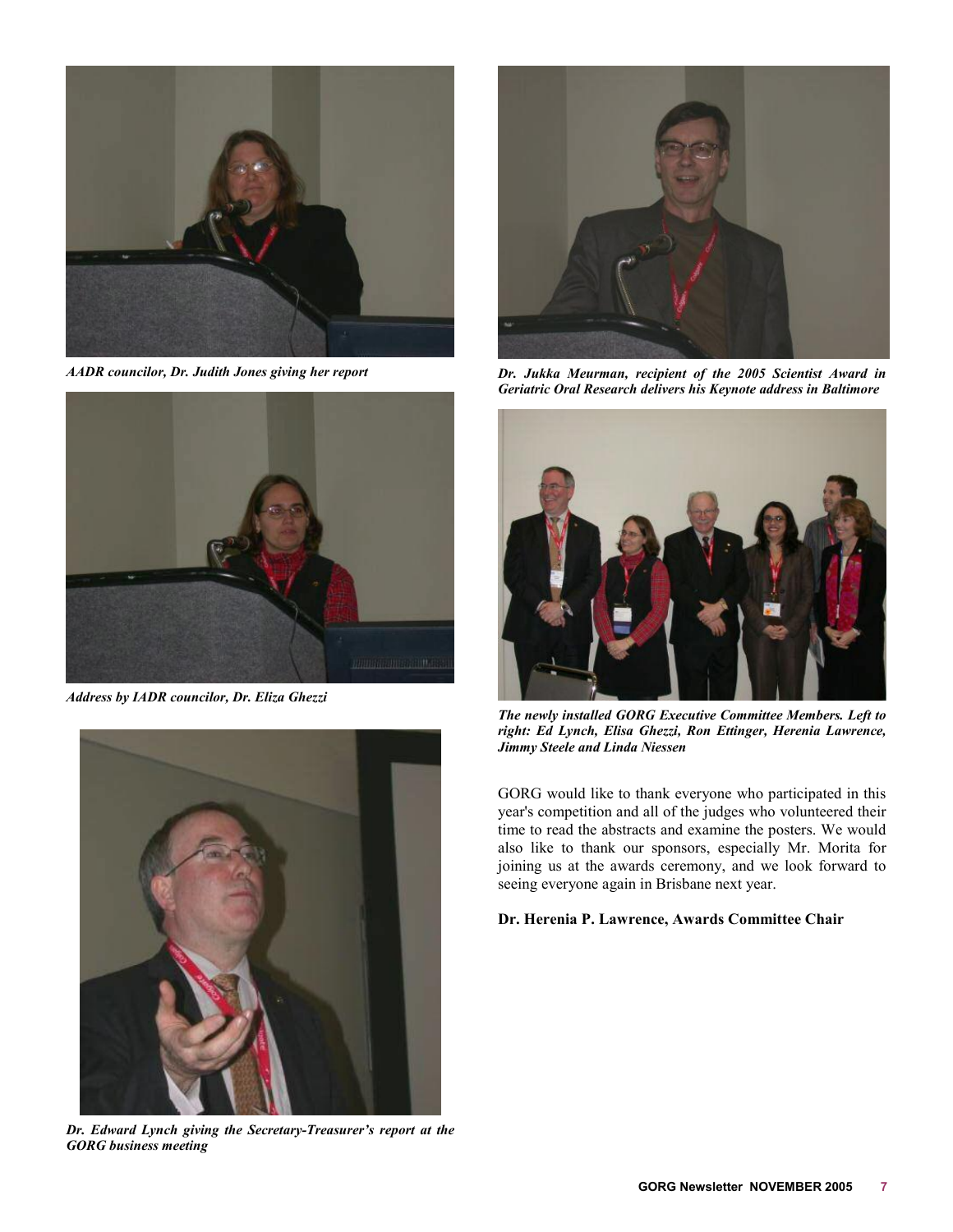

*AADR councilor, Dr. Judith Jones giving her report* 



*Address by IADR councilor, Dr. Eliza Ghezzi* 



*Dr. Edward Lynch giving the Secretary-Treasurer's report at the GORG business meeting* 



*Dr. Jukka Meurman, recipient of the 2005 Scientist Award in Geriatric Oral Research delivers his Keynote address in Baltimore* 



*The newly installed GORG Executive Committee Members. Left to right: Ed Lynch, Elisa Ghezzi, Ron Ettinger, Herenia Lawrence, Jimmy Steele and Linda Niessen* 

GORG would like to thank everyone who participated in this year's competition and all of the judges who volunteered their time to read the abstracts and examine the posters. We would also like to thank our sponsors, especially Mr. Morita for joining us at the awards ceremony, and we look forward to seeing everyone again in Brisbane next year.

#### **Dr. Herenia P. Lawrence, Awards Committee Chair**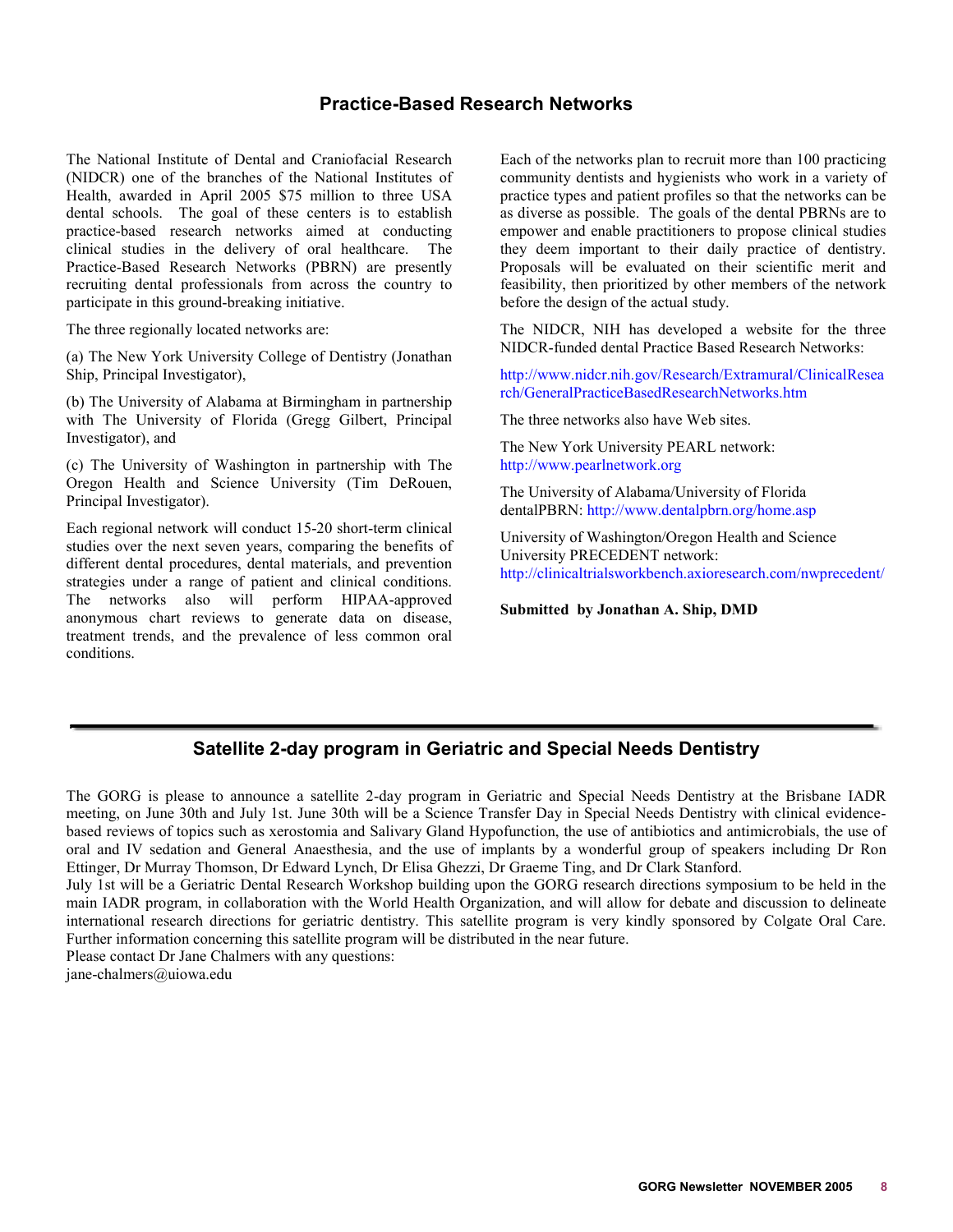### **Practice-Based Research Networks**

<span id="page-7-0"></span>The National Institute of Dental and Craniofacial Research (NIDCR) one of the branches of the National Institutes of Health, awarded in April 2005 \$75 million to three USA dental schools. The goal of these centers is to establish practice-based research networks aimed at conducting clinical studies in the delivery of oral healthcare. The Practice-Based Research Networks (PBRN) are presently recruiting dental professionals from across the country to participate in this ground-breaking initiative.

The three regionally located networks are:

(a) The New York University College of Dentistry (Jonathan Ship, Principal Investigator),

(b) The University of Alabama at Birmingham in partnership with The University of Florida (Gregg Gilbert, Principal Investigator), and

(c) The University of Washington in partnership with The Oregon Health and Science University (Tim DeRouen, Principal Investigator).

Each regional network will conduct 15-20 short-term clinical studies over the next seven years, comparing the benefits of different dental procedures, dental materials, and prevention strategies under a range of patient and clinical conditions. The networks also will perform HIPAA-approved anonymous chart reviews to generate data on disease, treatment trends, and the prevalence of less common oral conditions.

Each of the networks plan to recruit more than 100 practicing community dentists and hygienists who work in a variety of practice types and patient profiles so that the networks can be as diverse as possible. The goals of the dental PBRNs are to empower and enable practitioners to propose clinical studies they deem important to their daily practice of dentistry. Proposals will be evaluated on their scientific merit and feasibility, then prioritized by other members of the network before the design of the actual study.

The NIDCR, NIH has developed a website for the three NIDCR-funded dental Practice Based Research Networks:

[http://www.nidcr.nih.gov/Research/Extramural/ClinicalResea](http://www.nidcr.nih.gov/Research/Extramural/ClinicalResearch/GeneralPracticeBasedResearchNetworks.htm) [rch/GeneralPracticeBasedResearchNetworks.htm](http://www.nidcr.nih.gov/Research/Extramural/ClinicalResearch/GeneralPracticeBasedResearchNetworks.htm) 

The three networks also have Web sites.

The New York University PEARL network: [http://www.pearlnetwork.org](http://www.pearlnetwork.org/)

The University of Alabama/University of Florida dentalPBRN: http:/[/www.dentalpbrn.org/home.asp](http://www.dentalpbrn.org/home.asp) 

University of Washington/Oregon Health and Science University PRECEDENT network: <http://clinicaltrialsworkbench.axioresearch.com/nwprecedent/>

**Submitted by Jonathan A. Ship, DMD** 

### **Satellite 2-day program in Geriatric and Special Needs Dentistry**

The GORG is please to announce a satellite 2-day program in Geriatric and Special Needs Dentistry at the Brisbane IADR meeting, on June 30th and July 1st. June 30th will be a Science Transfer Day in Special Needs Dentistry with clinical evidencebased reviews of topics such as xerostomia and Salivary Gland Hypofunction, the use of antibiotics and antimicrobials, the use of oral and IV sedation and General Anaesthesia, and the use of implants by a wonderful group of speakers including Dr Ron Ettinger, Dr Murray Thomson, Dr Edward Lynch, Dr Elisa Ghezzi, Dr Graeme Ting, and Dr Clark Stanford.

July 1st will be a Geriatric Dental Research Workshop building upon the GORG research directions symposium to be held in the main IADR program, in collaboration with the World Health Organization, and will allow for debate and discussion to delineate international research directions for geriatric dentistry. This satellite program is very kindly sponsored by Colgate Oral Care. Further information concerning this satellite program will be distributed in the near future.

Please contact Dr Jane Chalmers with any questions:

jane-chalmers@uiowa.edu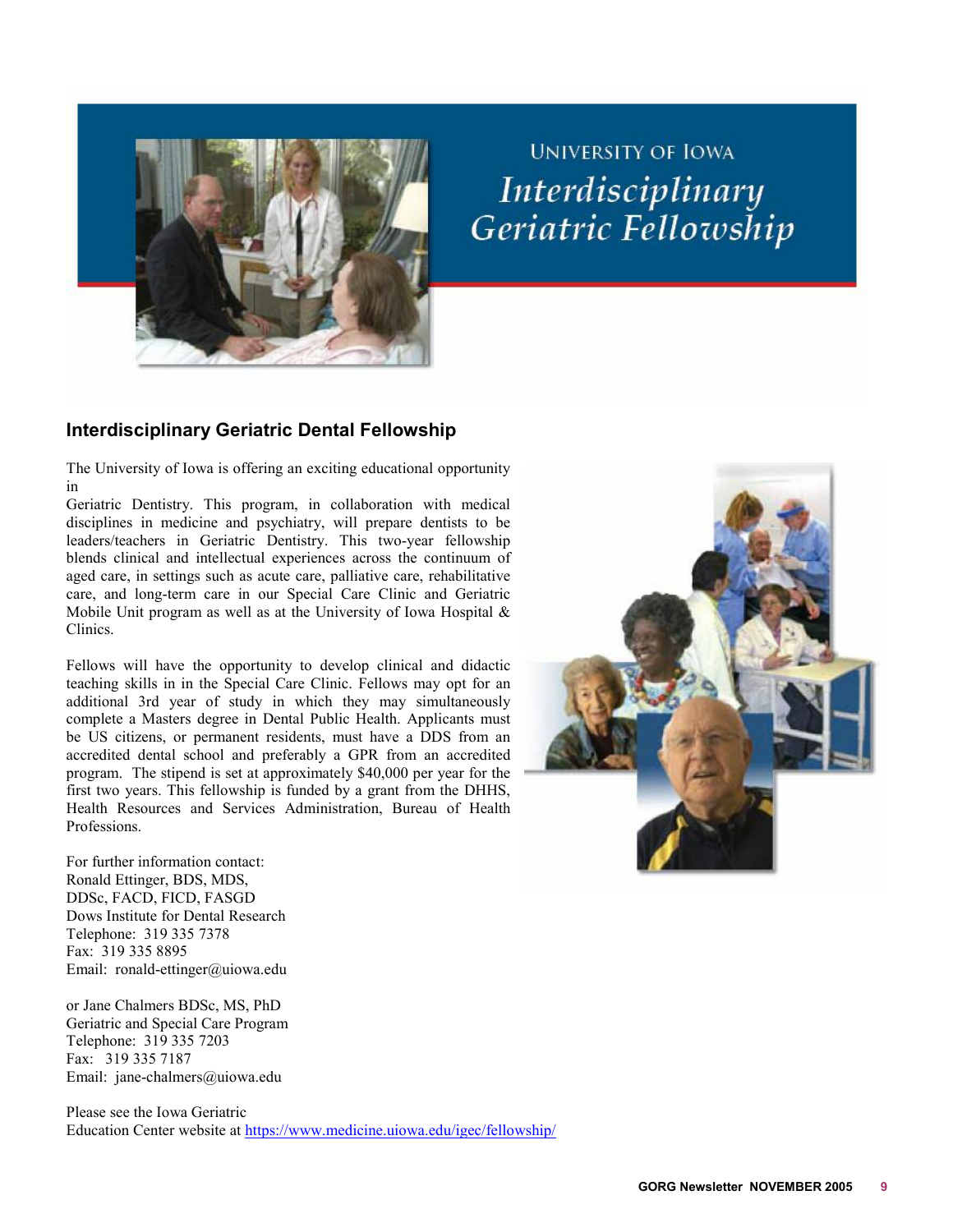<span id="page-8-0"></span>

# **UNIVERSITY OF IOWA** Interdisciplinary Geriatric Fellowship

# **Interdisciplinary Geriatric Dental Fellowship**

The University of Iowa is offering an exciting educational opportunity in

Geriatric Dentistry. This program, in collaboration with medical disciplines in medicine and psychiatry, will prepare dentists to be leaders/teachers in Geriatric Dentistry. This two-year fellowship blends clinical and intellectual experiences across the continuum of aged care, in settings such as acute care, palliative care, rehabilitative care, and long-term care in our Special Care Clinic and Geriatric Mobile Unit program as well as at the University of Iowa Hospital  $\&$ Clinics.

Fellows will have the opportunity to develop clinical and didactic teaching skills in in the Special Care Clinic. Fellows may opt for an additional 3rd year of study in which they may simultaneously complete a Masters degree in Dental Public Health. Applicants must be US citizens, or permanent residents, must have a DDS from an accredited dental school and preferably a GPR from an accredited program. The stipend is set at approximately \$40,000 per year for the first two years. This fellowship is funded by a grant from the DHHS, Health Resources and Services Administration, Bureau of Health Professions.

For further information contact: Ronald Ettinger, BDS, MDS, DDSc, FACD, FICD, FASGD Dows Institute for Dental Research Telephone: 319 335 7378 Fax: 319 335 8895 Email: ronald-ettinger@uiowa.edu

or Jane Chalmers BDSc, MS, PhD Geriatric and Special Care Program Telephone: 319 335 7203 Fax: 319 335 7187 Email: jane-chalmers@uiowa.edu

Please see the Iowa Geriatric Education Center website at <https://www.medicine.uiowa.edu/igec/fellowship/>

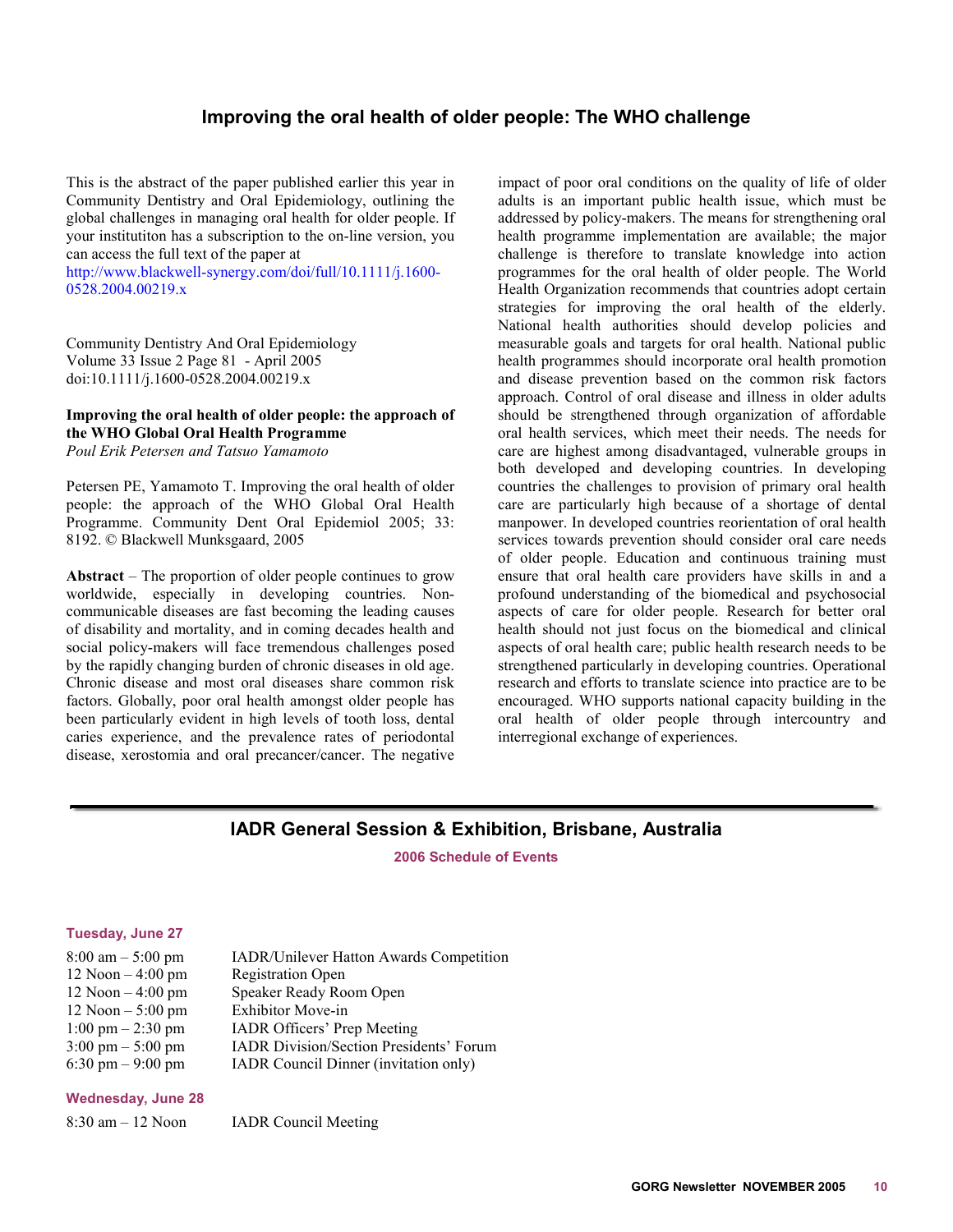#### **Improving the oral health of older people: The WHO challenge**

<span id="page-9-0"></span>This is the abstract of the paper published earlier this year in Community Dentistry and Oral Epidemiology, outlining the global challenges in managing oral health for older people. If your institutiton has a subscription to the on-line version, you can access the full text of the paper at

[http://www.blackwell-synergy.com/doi/full/10.1111/j.1600-](http://www.blackwell-synergy.com/doi/full/10.1111/j.1600-0528.2004.00219.x) [0528.2004.00219.x](http://www.blackwell-synergy.com/doi/full/10.1111/j.1600-0528.2004.00219.x)

Community Dentistry And Oral Epidemiology Volume 33 Issue 2 Page 81 - April 2005 doi:10.1111/j.1600-0528.2004.00219.x

#### **Improving the oral health of older people: the approach of the WHO Global Oral Health Programme**  *Poul Erik Petersen and Tatsuo Yamamoto*

Petersen PE, Yamamoto T. Improving the oral health of older people: the approach of the WHO Global Oral Health Programme. Community Dent Oral Epidemiol 2005; 33: 8192. © Blackwell Munksgaard, 2005

**Abstract** – The proportion of older people continues to grow worldwide, especially in developing countries. Noncommunicable diseases are fast becoming the leading causes of disability and mortality, and in coming decades health and social policy-makers will face tremendous challenges posed by the rapidly changing burden of chronic diseases in old age. Chronic disease and most oral diseases share common risk factors. Globally, poor oral health amongst older people has been particularly evident in high levels of tooth loss, dental caries experience, and the prevalence rates of periodontal disease, xerostomia and oral precancer/cancer. The negative

impact of poor oral conditions on the quality of life of older adults is an important public health issue, which must be addressed by policy-makers. The means for strengthening oral health programme implementation are available; the major challenge is therefore to translate knowledge into action programmes for the oral health of older people. The World Health Organization recommends that countries adopt certain strategies for improving the oral health of the elderly. National health authorities should develop policies and measurable goals and targets for oral health. National public health programmes should incorporate oral health promotion and disease prevention based on the common risk factors approach. Control of oral disease and illness in older adults should be strengthened through organization of affordable oral health services, which meet their needs. The needs for care are highest among disadvantaged, vulnerable groups in both developed and developing countries. In developing countries the challenges to provision of primary oral health care are particularly high because of a shortage of dental manpower. In developed countries reorientation of oral health services towards prevention should consider oral care needs of older people. Education and continuous training must ensure that oral health care providers have skills in and a profound understanding of the biomedical and psychosocial aspects of care for older people. Research for better oral health should not just focus on the biomedical and clinical aspects of oral health care; public health research needs to be strengthened particularly in developing countries. Operational research and efforts to translate science into practice are to be encouraged. WHO supports national capacity building in the oral health of older people through intercountry and interregional exchange of experiences.

#### **IADR General Session & Exhibition, Brisbane, Australia**

**2006 Schedule of Events** 

#### **Tuesday, June 27**

| $8:00 \text{ am} - 5:00 \text{ pm}$ | <b>IADR/Unilever Hatton Awards Competition</b> |
|-------------------------------------|------------------------------------------------|
| $12$ Noon $-4:00$ pm                | <b>Registration Open</b>                       |
| $12$ Noon $-4:00$ pm                | Speaker Ready Room Open                        |
| $12$ Noon $-5:00$ pm                | Exhibitor Move-in                              |
| $1:00 \text{ pm} - 2:30 \text{ pm}$ | <b>IADR Officers' Prep Meeting</b>             |
| $3:00 \text{ pm} - 5:00 \text{ pm}$ | <b>IADR Division/Section Presidents' Forum</b> |
| 6:30 pm $-9:00$ pm                  | IADR Council Dinner (invitation only)          |

#### **Wednesday, June 28**

8:30 am – 12 Noon IADR Council Meeting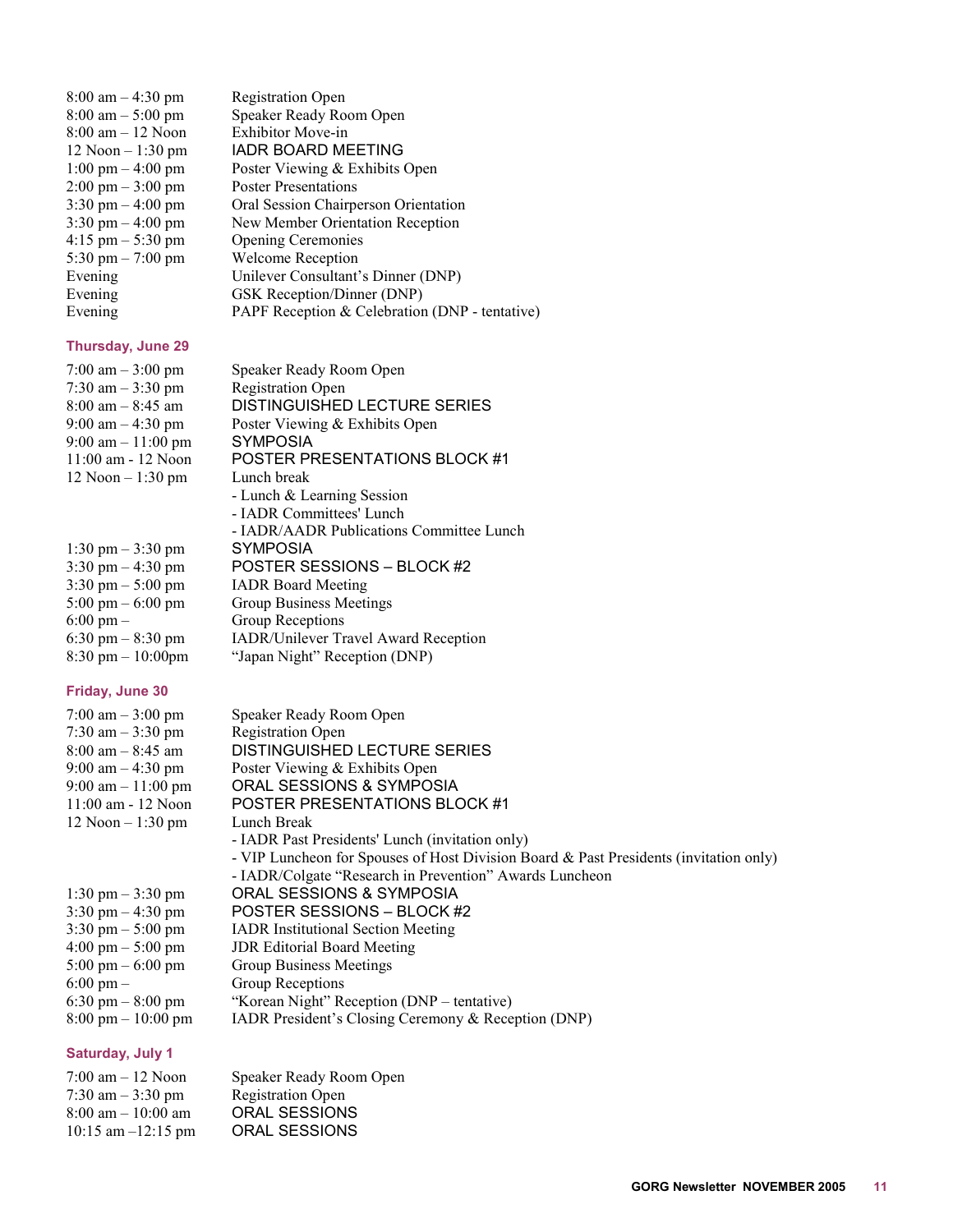| $8:00$ am $-4:30$ pm                | <b>Registration Open</b>                       |
|-------------------------------------|------------------------------------------------|
| $8:00 \text{ am} - 5:00 \text{ pm}$ | Speaker Ready Room Open                        |
| $8:00 \text{ am} - 12 \text{ Noon}$ | <b>Exhibitor Move-in</b>                       |
| $12$ Noon $-1:30$ pm                | IADR BOARD MEETING                             |
| $1:00 \text{ pm} - 4:00 \text{ pm}$ | Poster Viewing & Exhibits Open                 |
| $2:00 \text{ pm} - 3:00 \text{ pm}$ | <b>Poster Presentations</b>                    |
| $3:30 \text{ pm} - 4:00 \text{ pm}$ | Oral Session Chairperson Orientation           |
| $3:30 \text{ pm} - 4:00 \text{ pm}$ | New Member Orientation Reception               |
| $4:15 \text{ pm} - 5:30 \text{ pm}$ | <b>Opening Ceremonies</b>                      |
| 5:30 pm $- 7:00$ pm                 | Welcome Reception                              |
| Evening                             | Unilever Consultant's Dinner (DNP)             |
| Evening                             | GSK Reception/Dinner (DNP)                     |
| Evening                             | PAPF Reception & Celebration (DNP - tentative) |
|                                     |                                                |

# **Thursday, June 29**<br> $7:00 \text{ am} = 3:00 \text{ nm}$

| <b>Thursday, June 29</b>            |                                             |
|-------------------------------------|---------------------------------------------|
| $7:00 \text{ am} - 3:00 \text{ pm}$ | Speaker Ready Room Open                     |
| 7:30 am $-3:30$ pm                  | <b>Registration Open</b>                    |
| $8:00$ am $-8:45$ am                | DISTINGUISHED LECTURE SERIES                |
| $9:00$ am $-4:30$ pm                | Poster Viewing & Exhibits Open              |
| $9:00$ am $-11:00$ pm               | <b>SYMPOSIA</b>                             |
| $11:00$ am $-12$ Noon               | <b>POSTER PRESENTATIONS BLOCK #1</b>        |
| $12$ Noon $-1:30$ pm                | Lunch break                                 |
|                                     | - Lunch & Learning Session                  |
|                                     | - IADR Committees' Lunch                    |
|                                     | - IADR/AADR Publications Committee Lunch    |
| $1:30 \text{ pm} - 3:30 \text{ pm}$ | SYMPOSIA                                    |
| $3:30 \text{ pm} - 4:30 \text{ pm}$ | POSTER SESSIONS - BLOCK #2                  |
| $3:30 \text{ pm} - 5:00 \text{ pm}$ | <b>IADR</b> Board Meeting                   |
| $5:00 \text{ pm} - 6:00 \text{ pm}$ | <b>Group Business Meetings</b>              |
| $6:00 \text{ pm} -$                 | Group Receptions                            |
| $6:30 \text{ pm} - 8:30 \text{ pm}$ | <b>IADR/Unilever Travel Award Reception</b> |
| $8:30 \text{ pm} - 10:00 \text{pm}$ | "Japan Night" Reception (DNP)               |
|                                     |                                             |

#### **Friday, June 30**

| 7:00 am $-3:00$ pm                   | Speaker Ready Room Open                                                               |
|--------------------------------------|---------------------------------------------------------------------------------------|
| 7:30 am $-$ 3:30 pm                  | <b>Registration Open</b>                                                              |
| $8:00$ am $-8:45$ am                 | DISTINGUISHED LECTURE SERIES                                                          |
| 9:00 am $-$ 4:30 pm                  | Poster Viewing & Exhibits Open                                                        |
| $9:00$ am $-11:00$ pm                | ORAL SESSIONS & SYMPOSIA                                                              |
| $11:00$ am $-12$ Noon                | POSTER PRESENTATIONS BLOCK #1                                                         |
| $12$ Noon $-1:30$ pm                 | Lunch Break                                                                           |
|                                      | - IADR Past Presidents' Lunch (invitation only)                                       |
|                                      | - VIP Luncheon for Spouses of Host Division Board & Past Presidents (invitation only) |
|                                      | - IADR/Colgate "Research in Prevention" Awards Luncheon                               |
| $1:30 \text{ pm} - 3:30 \text{ pm}$  | ORAL SESSIONS & SYMPOSIA                                                              |
| $3:30 \text{ pm} - 4:30 \text{ pm}$  | POSTER SESSIONS - BLOCK #2                                                            |
| $3:30 \text{ pm} - 5:00 \text{ pm}$  | <b>IADR</b> Institutional Section Meeting                                             |
| $4:00 \text{ pm} - 5:00 \text{ pm}$  | <b>JDR</b> Editorial Board Meeting                                                    |
| $5:00 \text{ pm} - 6:00 \text{ pm}$  | Group Business Meetings                                                               |
| $6:00 \text{ pm} -$                  | Group Receptions                                                                      |
| 6:30 pm $-$ 8:00 pm                  | "Korean Night" Reception (DNP – tentative)                                            |
| $8:00 \text{ pm} - 10:00 \text{ pm}$ | <b>IADR</b> President's Closing Ceremony & Reception (DNP)                            |

#### **Saturday, July 1**

| $7:00 \text{ am} - 12 \text{ Noon}$  | Speaker Ready Room Open  |
|--------------------------------------|--------------------------|
| $7:30$ am $-3:30$ pm                 | <b>Registration Open</b> |
| $8:00 \text{ am} - 10:00 \text{ am}$ | ORAL SESSIONS            |
| $10:15$ am $-12:15$ pm               | <b>ORAL SESSIONS</b>     |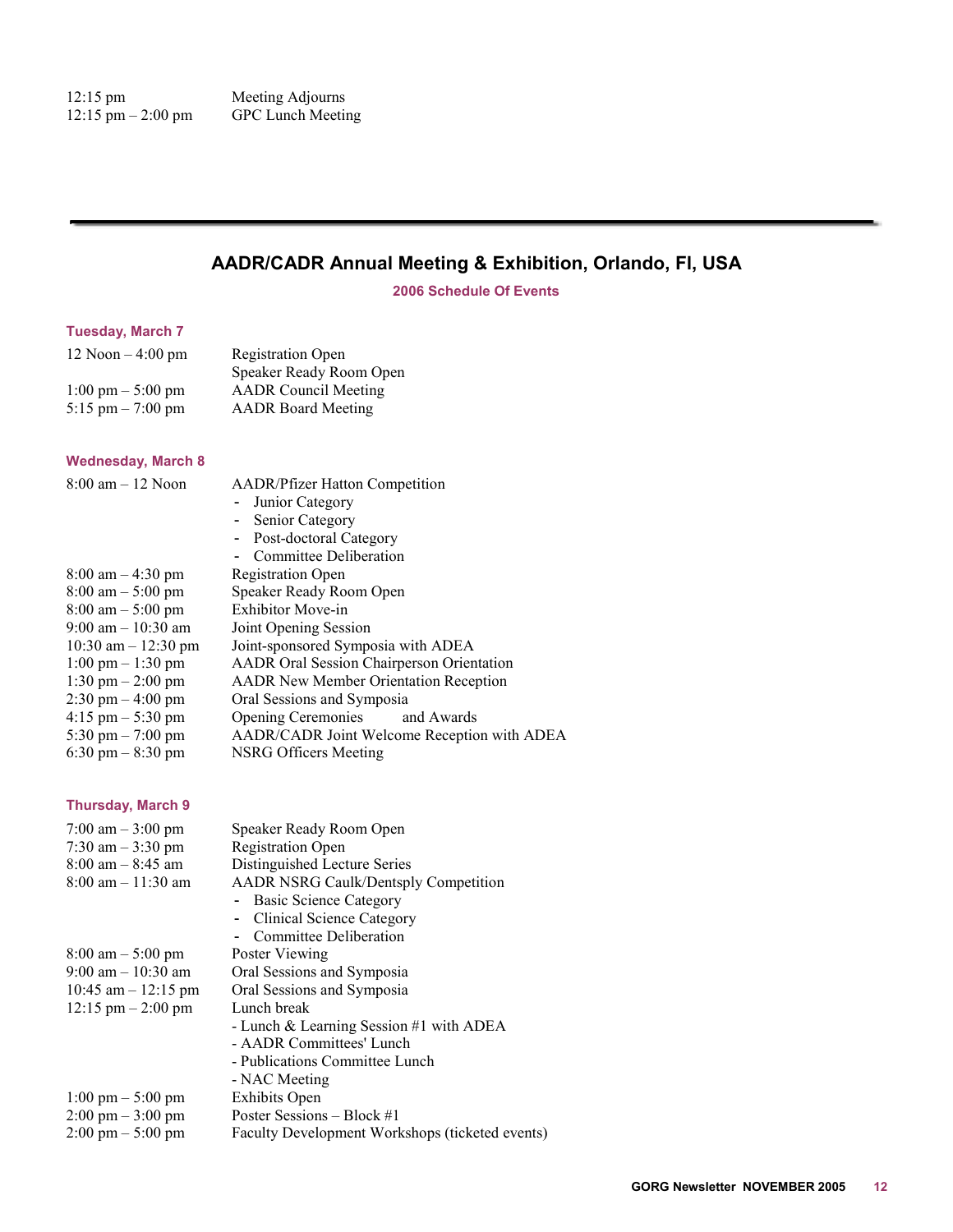# <span id="page-11-0"></span>**AADR/CADR Annual Meeting & Exhibition, Orlando, Fl, USA**

**2006 Schedule Of Events** 

#### **Tuesday, March 7**

| $12$ Noon $-4:00$ pm                | <b>Registration Open</b>    |
|-------------------------------------|-----------------------------|
|                                     | Speaker Ready Room Open     |
| $1:00 \text{ pm} - 5:00 \text{ pm}$ | <b>AADR</b> Council Meeting |
| 5:15 pm $- 7:00$ pm                 | <b>AADR</b> Board Meeting   |

#### **Wednesday, March 8**

| <b>AADR/Pfizer Hatton Competition</b>            |
|--------------------------------------------------|
| - Junior Category                                |
| Senior Category                                  |
| - Post-doctoral Category                         |
| Committee Deliberation                           |
| <b>Registration Open</b>                         |
| Speaker Ready Room Open                          |
| <b>Exhibitor Move-in</b>                         |
| Joint Opening Session                            |
| Joint-sponsored Symposia with ADEA               |
| <b>AADR</b> Oral Session Chairperson Orientation |
| <b>AADR</b> New Member Orientation Reception     |
| Oral Sessions and Symposia                       |
| Opening Ceremonies and Awards                    |
| AADR/CADR Joint Welcome Reception with ADEA      |
| NSRG Officers Meeting                            |
|                                                  |

#### **Thursday, March 9**

| 7:00 am $-3:00$ pm                   | Speaker Ready Room Open                         |
|--------------------------------------|-------------------------------------------------|
| 7:30 am $-$ 3:30 pm                  | <b>Registration Open</b>                        |
| $8:00$ am $-8:45$ am                 | Distinguished Lecture Series                    |
| $8:00$ am $-11:30$ am                | <b>AADR NSRG Caulk/Dentsply Competition</b>     |
|                                      | - Basic Science Category                        |
|                                      | - Clinical Science Category                     |
|                                      | Committee Deliberation                          |
| $8:00 \text{ am} - 5:00 \text{ pm}$  | Poster Viewing                                  |
| $9:00$ am $-10:30$ am                | Oral Sessions and Symposia                      |
| 10:45 am $-$ 12:15 pm                | Oral Sessions and Symposia                      |
| $12:15 \text{ pm} - 2:00 \text{ pm}$ | Lunch break                                     |
|                                      | - Lunch & Learning Session $#1$ with ADEA       |
|                                      | - AADR Committees' Lunch                        |
|                                      | - Publications Committee Lunch                  |
|                                      | - NAC Meeting                                   |
| $1:00 \text{ pm} - 5:00 \text{ pm}$  | <b>Exhibits Open</b>                            |
| $2:00 \text{ pm} - 3:00 \text{ pm}$  | Poster Sessions – Block #1                      |
| $2:00 \text{ pm} - 5:00 \text{ pm}$  | Faculty Development Workshops (ticketed events) |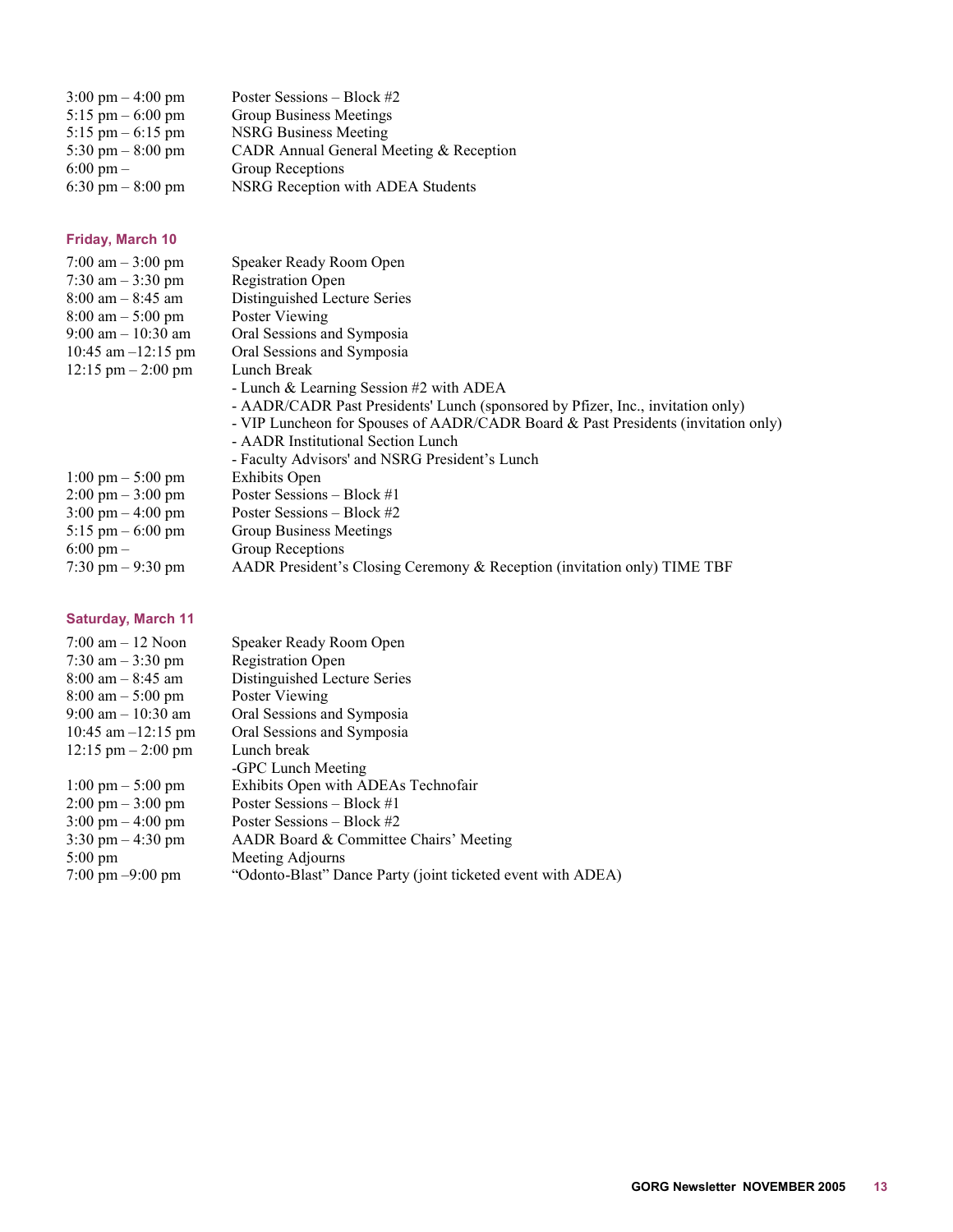| $3:00 \text{ pm} - 4:00 \text{ pm}$ | Poster Sessions – Block #2              |
|-------------------------------------|-----------------------------------------|
| $5:15 \text{ pm} - 6:00 \text{ pm}$ | Group Business Meetings                 |
| $5:15 \text{ pm} - 6:15 \text{ pm}$ | <b>NSRG Business Meeting</b>            |
| 5:30 pm $-$ 8:00 pm                 | CADR Annual General Meeting & Reception |
| $6:00 \text{ pm} -$                 | <b>Group Receptions</b>                 |
| 6:30 pm $-$ 8:00 pm                 | NSRG Reception with ADEA Students       |

#### **Friday, March 10**

| 7:00 am $-3:00$ pm                   | Speaker Ready Room Open                                                           |
|--------------------------------------|-----------------------------------------------------------------------------------|
| 7:30 am $-$ 3:30 pm                  | <b>Registration Open</b>                                                          |
| $8:00$ am $-8:45$ am                 | Distinguished Lecture Series                                                      |
| $8:00 \text{ am} - 5:00 \text{ pm}$  | Poster Viewing                                                                    |
| $9:00$ am $-10:30$ am                | Oral Sessions and Symposia                                                        |
| 10:45 am $-12:15$ pm                 | Oral Sessions and Symposia                                                        |
| $12:15 \text{ pm} - 2:00 \text{ pm}$ | Lunch Break                                                                       |
|                                      | - Lunch & Learning Session $#2$ with ADEA                                         |
|                                      | - AADR/CADR Past Presidents' Lunch (sponsored by Pfizer, Inc., invitation only)   |
|                                      | - VIP Luncheon for Spouses of AADR/CADR Board & Past Presidents (invitation only) |
|                                      | - AADR Institutional Section Lunch                                                |
|                                      | - Faculty Advisors' and NSRG President's Lunch                                    |
| $1:00 \text{ pm} - 5:00 \text{ pm}$  | <b>Exhibits Open</b>                                                              |
| $2:00 \text{ pm} - 3:00 \text{ pm}$  | Poster Sessions – Block #1                                                        |
| $3:00 \text{ pm} - 4:00 \text{ pm}$  | Poster Sessions – Block #2                                                        |
| $5:15 \text{ pm} - 6:00 \text{ pm}$  | Group Business Meetings                                                           |
| $6:00 \text{ pm} -$                  | Group Receptions                                                                  |
| $7:30 \text{ pm} - 9:30 \text{ pm}$  | AADR President's Closing Ceremony & Reception (invitation only) TIME TBF          |

# **Saturday, March 11**

| $7:00 \text{ am} - 12 \text{ Noon}$  | Speaker Ready Room Open                                     |
|--------------------------------------|-------------------------------------------------------------|
| 7:30 am $-3:30$ pm                   | <b>Registration Open</b>                                    |
| $8:00$ am $-8:45$ am                 | Distinguished Lecture Series                                |
| $8:00 \text{ am} - 5:00 \text{ pm}$  | Poster Viewing                                              |
| $9:00$ am $-10:30$ am                | Oral Sessions and Symposia                                  |
| $10:45$ am $-12:15$ pm               | Oral Sessions and Symposia                                  |
| $12:15 \text{ pm} - 2:00 \text{ pm}$ | Lunch break                                                 |
|                                      | -GPC Lunch Meeting                                          |
| $1:00 \text{ pm} - 5:00 \text{ pm}$  | Exhibits Open with ADEAs Technofair                         |
| $2:00 \text{ pm} - 3:00 \text{ pm}$  | Poster Sessions – Block #1                                  |
| $3:00 \text{ pm} - 4:00 \text{ pm}$  | Poster Sessions – Block #2                                  |
| $3:30 \text{ pm} - 4:30 \text{ pm}$  | AADR Board & Committee Chairs' Meeting                      |
| $5:00 \text{ pm}$                    | Meeting Adjourns                                            |
| $7:00 \text{ pm} - 9:00 \text{ pm}$  | "Odonto-Blast" Dance Party (joint ticketed event with ADEA) |